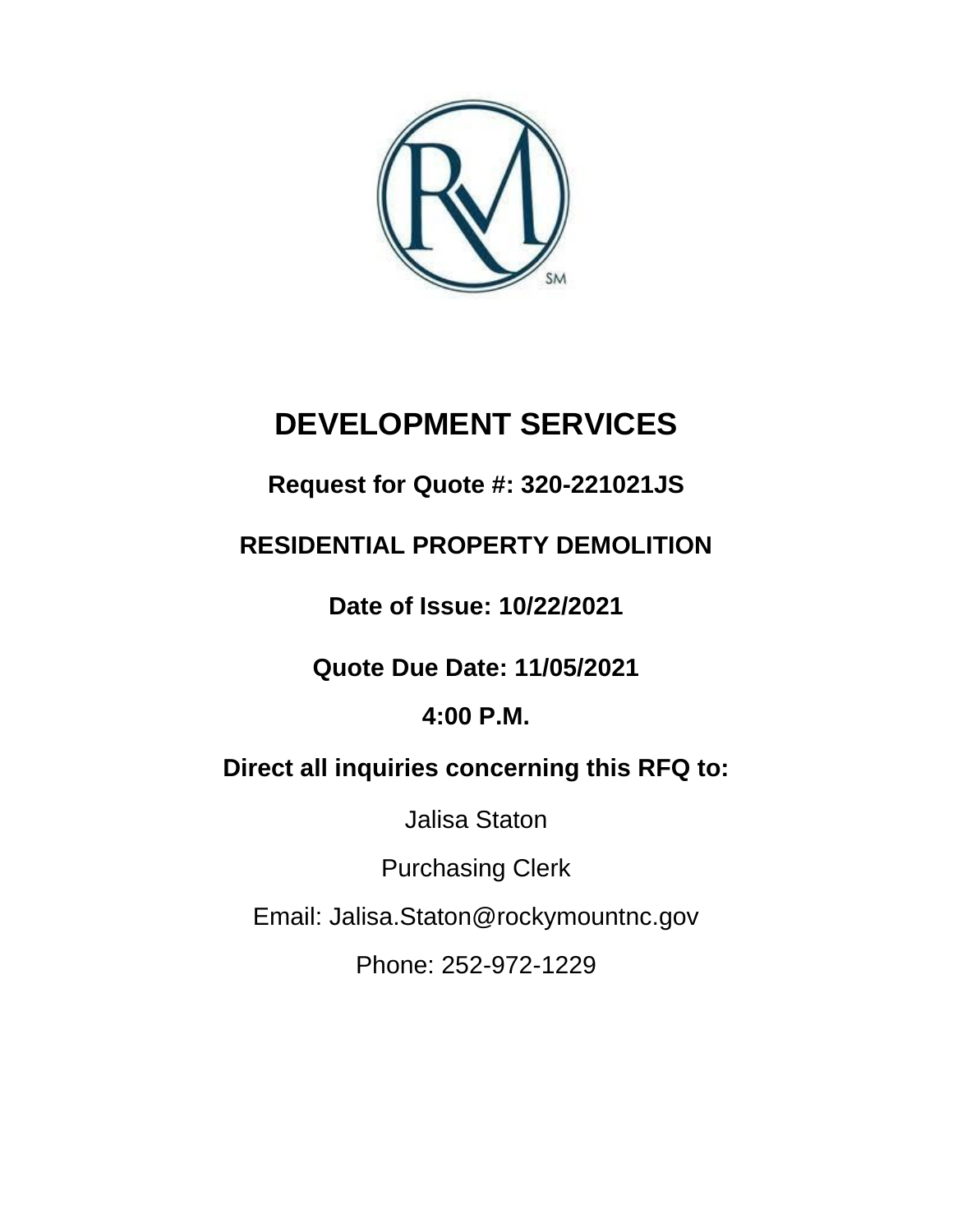

# **DEVELOPMENT SERVICES**

# **Request for Quote #: 320-221021JS**

# **RESIDENTIAL PROPERTY DEMOLITION**

**Date of Issue: 10/22/2021**

**Quote Due Date: 11/05/2021**

# **4:00 P.M.**

# **Direct all inquiries concerning this RFQ to:**

Jalisa Staton

Purchasing Clerk

Email: Jalisa.Staton@rockymountnc.gov

Phone: 252-972-1229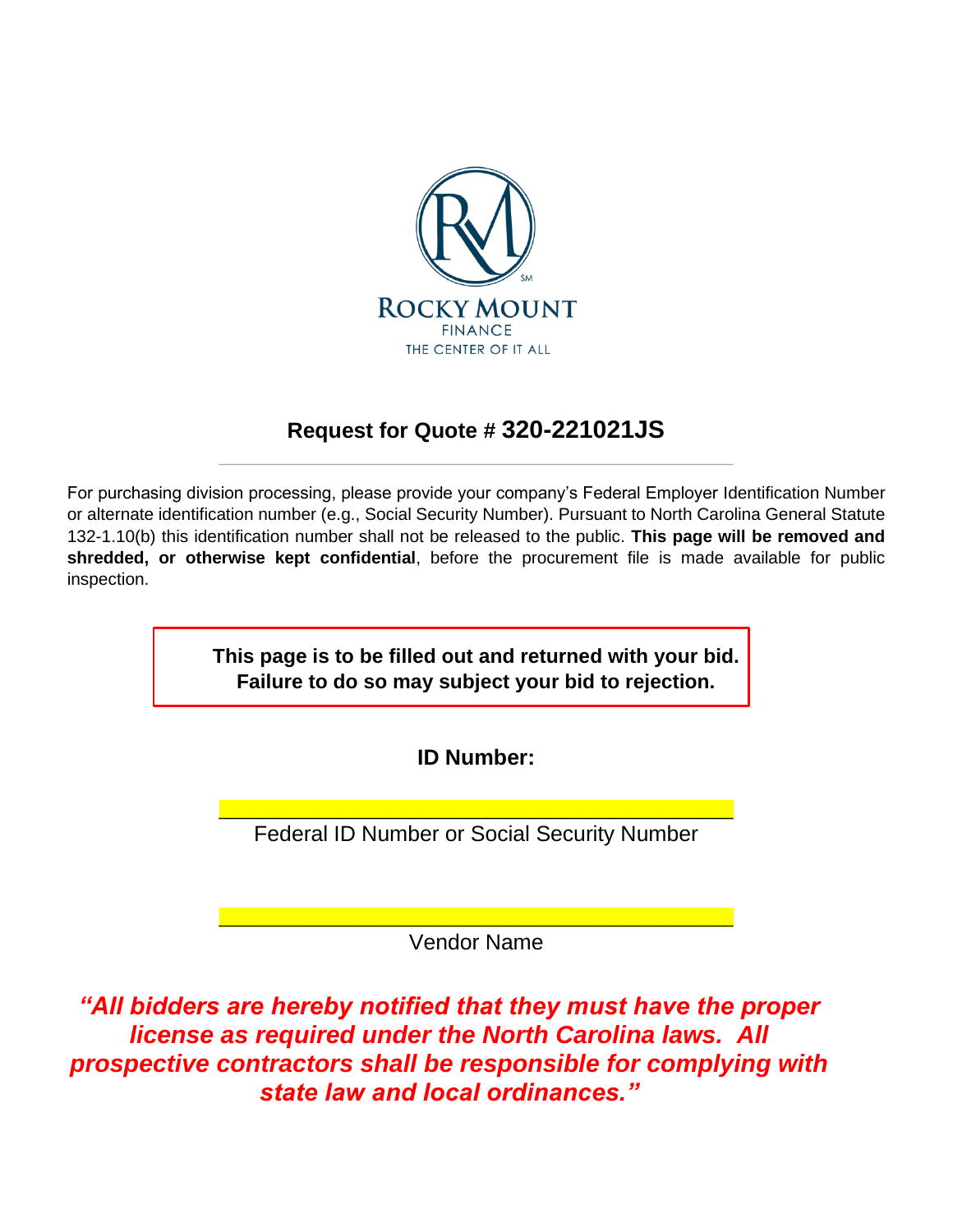

## **Request for Quote # 320-221021JS** \_\_\_\_\_\_\_\_\_\_\_\_\_\_\_\_\_\_\_\_\_\_\_\_\_\_\_\_\_\_\_\_\_\_\_\_\_\_\_\_\_\_\_\_\_\_\_\_\_\_\_\_\_\_

For purchasing division processing, please provide your company's Federal Employer Identification Number or alternate identification number (e.g., Social Security Number). Pursuant to North Carolina General Statute 132-1.10(b) this identification number shall not be released to the public. **This page will be removed and shredded, or otherwise kept confidential**, before the procurement file is made available for public inspection.

> **This page is to be filled out and returned with your bid. Failure to do so may subject your bid to rejection.**

> > **ID Number:**

\_\_\_\_\_\_\_\_\_\_\_\_\_\_\_\_\_\_\_\_\_\_\_\_\_\_\_\_\_\_\_\_\_\_\_\_\_\_\_\_\_\_\_\_\_\_\_\_\_\_\_\_\_\_ Federal ID Number or Social Security Number

\_\_\_\_\_\_\_\_\_\_\_\_\_\_\_\_\_\_\_\_\_\_\_\_\_\_\_\_\_\_\_\_\_\_\_\_\_\_\_\_\_\_\_\_\_\_\_\_\_\_\_\_\_\_ Vendor Name

*"All bidders are hereby notified that they must have the proper license as required under the North Carolina laws. All prospective contractors shall be responsible for complying with state law and local ordinances."*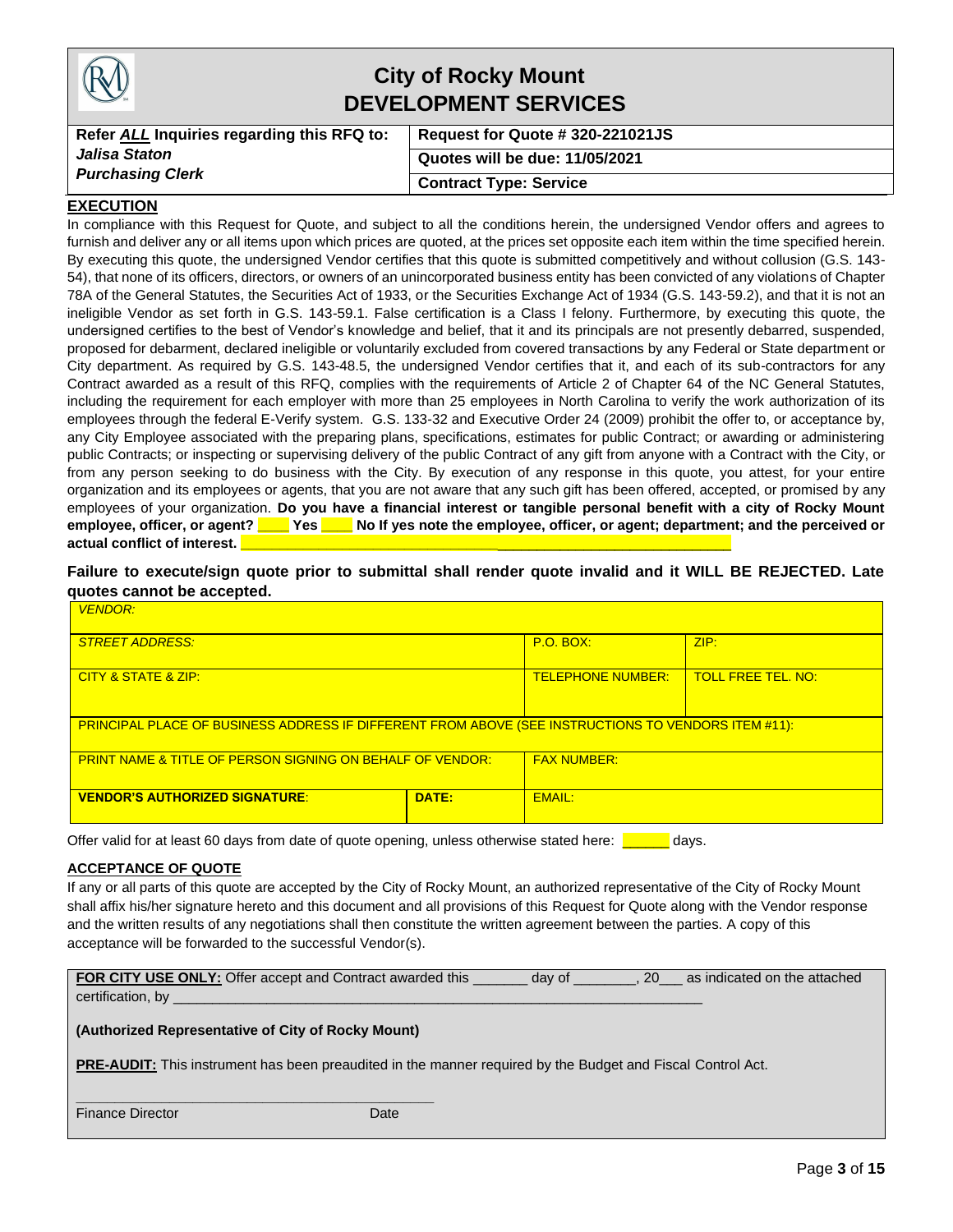|                                                                                | <b>City of Rocky Mount</b><br><b>DEVELOPMENT SERVICES</b> |
|--------------------------------------------------------------------------------|-----------------------------------------------------------|
| Refer ALL Inquiries regarding this RFQ to:<br>Request for Quote # 320-221021JS |                                                           |
| Jalisa Staton                                                                  | Quotes will be due: 11/05/2021                            |
| <b>Purchasing Clerk</b>                                                        | <b>Contract Type: Service</b>                             |
| FXFCIITION                                                                     |                                                           |

#### **EXECUTION**

In compliance with this Request for Quote, and subject to all the conditions herein, the undersigned Vendor offers and agrees to furnish and deliver any or all items upon which prices are quoted, at the prices set opposite each item within the time specified herein. By executing this quote, the undersigned Vendor certifies that this quote is submitted competitively and without collusion (G.S. 143- 54), that none of its officers, directors, or owners of an unincorporated business entity has been convicted of any violations of Chapter 78A of the General Statutes, the Securities Act of 1933, or the Securities Exchange Act of 1934 (G.S. 143-59.2), and that it is not an ineligible Vendor as set forth in G.S. 143-59.1. False certification is a Class I felony. Furthermore, by executing this quote, the undersigned certifies to the best of Vendor's knowledge and belief, that it and its principals are not presently debarred, suspended, proposed for debarment, declared ineligible or voluntarily excluded from covered transactions by any Federal or State department or City department. As required by G.S. 143-48.5, the undersigned Vendor certifies that it, and each of its sub-contractors for any Contract awarded as a result of this RFQ, complies with the requirements of Article 2 of Chapter 64 of the NC General Statutes, including the requirement for each employer with more than 25 employees in North Carolina to verify the work authorization of its employees through the federal E-Verify system. G.S. 133-32 and Executive Order 24 (2009) prohibit the offer to, or acceptance by, any City Employee associated with the preparing plans, specifications, estimates for public Contract; or awarding or administering public Contracts; or inspecting or supervising delivery of the public Contract of any gift from anyone with a Contract with the City, or from any person seeking to do business with the City. By execution of any response in this quote, you attest, for your entire organization and its employees or agents, that you are not aware that any such gift has been offered, accepted, or promised by any employees of your organization. **Do you have a financial interest or tangible personal benefit with a city of Rocky Mount employee, officer, or agent? \_\_\_\_ Yes \_\_\_\_ No If yes note the employee, officer, or agent; department; and the perceived or**  actual conflict of interest.

**Failure to execute/sign quote prior to submittal shall render quote invalid and it WILL BE REJECTED. Late quotes cannot be accepted.**

| <b>VENDOR:</b>                                                                                      |               |                  |      |  |
|-----------------------------------------------------------------------------------------------------|---------------|------------------|------|--|
| <b>STREET ADDRESS:</b>                                                                              |               | <b>P.O. BOX:</b> | ZIP: |  |
| <b>TOLL FREE TEL, NO:</b><br>CITY & STATE & ZIP:<br><b>TELEPHONE NUMBER:</b>                        |               |                  |      |  |
| PRINCIPAL PLACE OF BUSINESS ADDRESS IF DIFFERENT FROM ABOVE (SEE INSTRUCTIONS TO VENDORS ITEM #11): |               |                  |      |  |
| <b>FAX NUMBER:</b><br><b>PRINT NAME &amp; TITLE OF PERSON SIGNING ON BEHALF OF VENDOR:</b>          |               |                  |      |  |
| <b>VENDOR'S AUTHORIZED SIGNATURE:</b>                                                               | <b>EMAIL:</b> |                  |      |  |

Offer valid for at least 60 days from date of quote opening, unless otherwise stated here: **The analyse** 

#### **ACCEPTANCE OF QUOTE**

If any or all parts of this quote are accepted by the City of Rocky Mount, an authorized representative of the City of Rocky Mount shall affix his/her signature hereto and this document and all provisions of this Request for Quote along with the Vendor response and the written results of any negotiations shall then constitute the written agreement between the parties. A copy of this acceptance will be forwarded to the successful Vendor(s).

| <b>FOR CITY USE ONLY:</b> Offer accept and Contract awarded this | day of | as indicated on the attached |
|------------------------------------------------------------------|--------|------------------------------|
| certification, by                                                |        |                              |

#### **(Authorized Representative of City of Rocky Mount)**

**\_\_\_\_\_\_\_\_\_\_\_\_\_\_\_\_\_\_\_\_\_\_\_\_\_\_\_\_\_\_\_\_\_\_\_\_\_\_\_\_\_\_\_\_\_\_**

**PRE-AUDIT:** This instrument has been preaudited in the manner required by the Budget and Fiscal Control Act.

Finance Director **Date** Date Date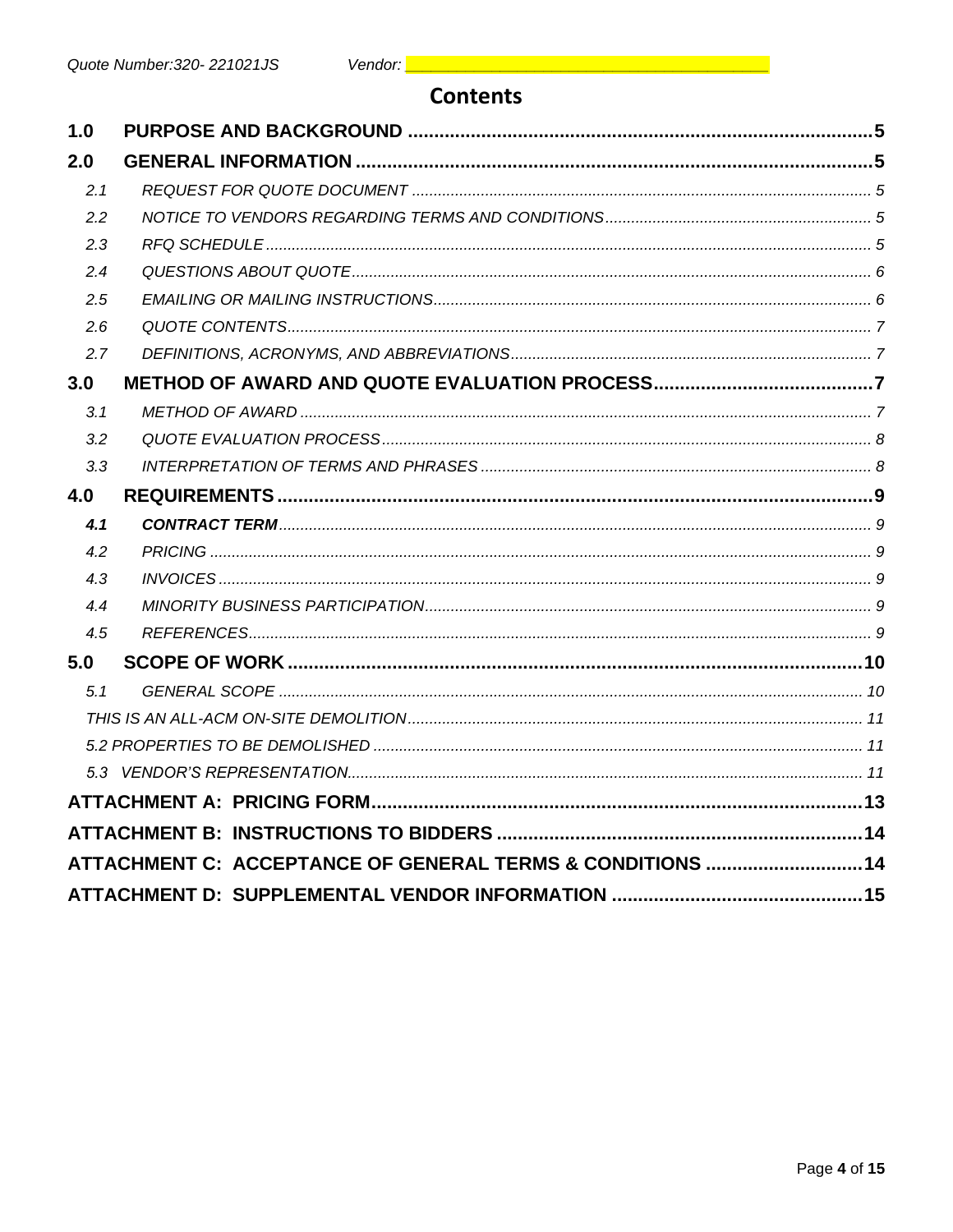### **Contents**

| 1.0 |                                                            |  |
|-----|------------------------------------------------------------|--|
| 2.0 |                                                            |  |
| 2.1 |                                                            |  |
| 2.2 |                                                            |  |
| 2.3 |                                                            |  |
| 2.4 |                                                            |  |
| 2.5 |                                                            |  |
| 2.6 |                                                            |  |
| 2.7 |                                                            |  |
| 3.0 |                                                            |  |
| 3.1 |                                                            |  |
| 3.2 |                                                            |  |
| 3.3 |                                                            |  |
| 4.0 |                                                            |  |
| 4.1 |                                                            |  |
| 4.2 |                                                            |  |
| 4.3 |                                                            |  |
| 4.4 |                                                            |  |
| 4.5 |                                                            |  |
| 5.0 |                                                            |  |
| 5.1 |                                                            |  |
|     |                                                            |  |
|     |                                                            |  |
|     |                                                            |  |
|     |                                                            |  |
|     |                                                            |  |
|     | ATTACHMENT C: ACCEPTANCE OF GENERAL TERMS & CONDITIONS  14 |  |
|     |                                                            |  |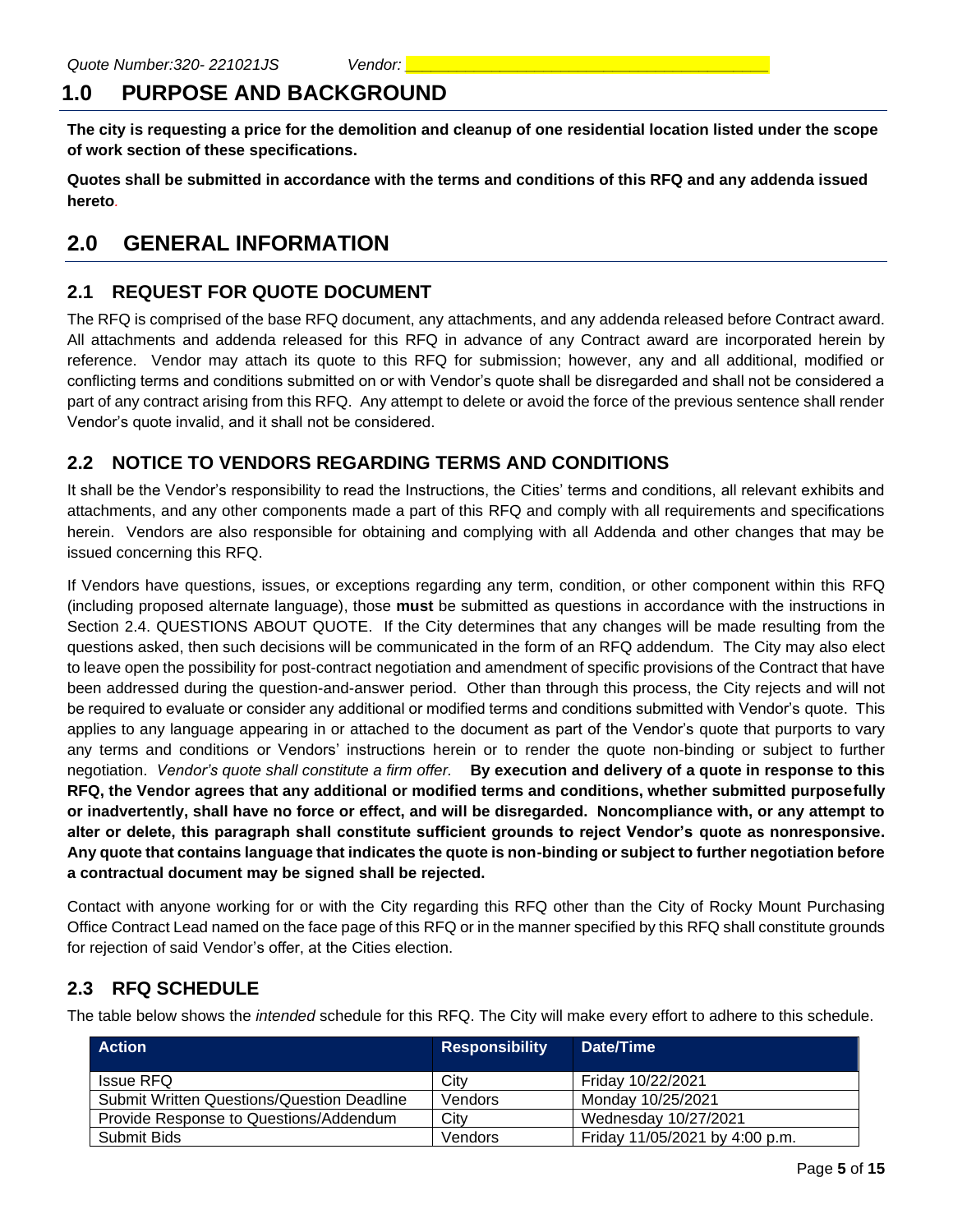# **1.0 PURPOSE AND BACKGROUND**

**The city is requesting a price for the demolition and cleanup of one residential location listed under the scope of work section of these specifications.**

**Quotes shall be submitted in accordance with the terms and conditions of this RFQ and any addenda issued hereto***.*

# **2.0 GENERAL INFORMATION**

### **2.1 REQUEST FOR QUOTE DOCUMENT**

The RFQ is comprised of the base RFQ document, any attachments, and any addenda released before Contract award. All attachments and addenda released for this RFQ in advance of any Contract award are incorporated herein by reference. Vendor may attach its quote to this RFQ for submission; however, any and all additional, modified or conflicting terms and conditions submitted on or with Vendor's quote shall be disregarded and shall not be considered a part of any contract arising from this RFQ. Any attempt to delete or avoid the force of the previous sentence shall render Vendor's quote invalid, and it shall not be considered.

#### **2.2 NOTICE TO VENDORS REGARDING TERMS AND CONDITIONS**

It shall be the Vendor's responsibility to read the Instructions, the Cities' terms and conditions, all relevant exhibits and attachments, and any other components made a part of this RFQ and comply with all requirements and specifications herein. Vendors are also responsible for obtaining and complying with all Addenda and other changes that may be issued concerning this RFQ.

If Vendors have questions, issues, or exceptions regarding any term, condition, or other component within this RFQ (including proposed alternate language), those **must** be submitted as questions in accordance with the instructions in Section 2.4. QUESTIONS ABOUT QUOTE. If the City determines that any changes will be made resulting from the questions asked, then such decisions will be communicated in the form of an RFQ addendum. The City may also elect to leave open the possibility for post-contract negotiation and amendment of specific provisions of the Contract that have been addressed during the question-and-answer period. Other than through this process, the City rejects and will not be required to evaluate or consider any additional or modified terms and conditions submitted with Vendor's quote. This applies to any language appearing in or attached to the document as part of the Vendor's quote that purports to vary any terms and conditions or Vendors' instructions herein or to render the quote non-binding or subject to further negotiation. *Vendor's quote shall constitute a firm offer.* **By execution and delivery of a quote in response to this RFQ, the Vendor agrees that any additional or modified terms and conditions, whether submitted purposefully or inadvertently, shall have no force or effect, and will be disregarded. Noncompliance with, or any attempt to alter or delete, this paragraph shall constitute sufficient grounds to reject Vendor's quote as nonresponsive. Any quote that contains language that indicates the quote is non-binding or subject to further negotiation before a contractual document may be signed shall be rejected.**

Contact with anyone working for or with the City regarding this RFQ other than the City of Rocky Mount Purchasing Office Contract Lead named on the face page of this RFQ or in the manner specified by this RFQ shall constitute grounds for rejection of said Vendor's offer, at the Cities election.

#### **2.3 RFQ SCHEDULE**

The table below shows the *intended* schedule for this RFQ. The City will make every effort to adhere to this schedule.

| <b>Action</b>                                     | <b>Responsibility</b> | Date/Time                      |
|---------------------------------------------------|-----------------------|--------------------------------|
| Issue RFQ                                         | City                  | Friday 10/22/2021              |
| <b>Submit Written Questions/Question Deadline</b> | Vendors               | Monday 10/25/2021              |
| Provide Response to Questions/Addendum            | City                  | Wednesday 10/27/2021           |
| Submit Bids                                       | Vendors               | Friday 11/05/2021 by 4:00 p.m. |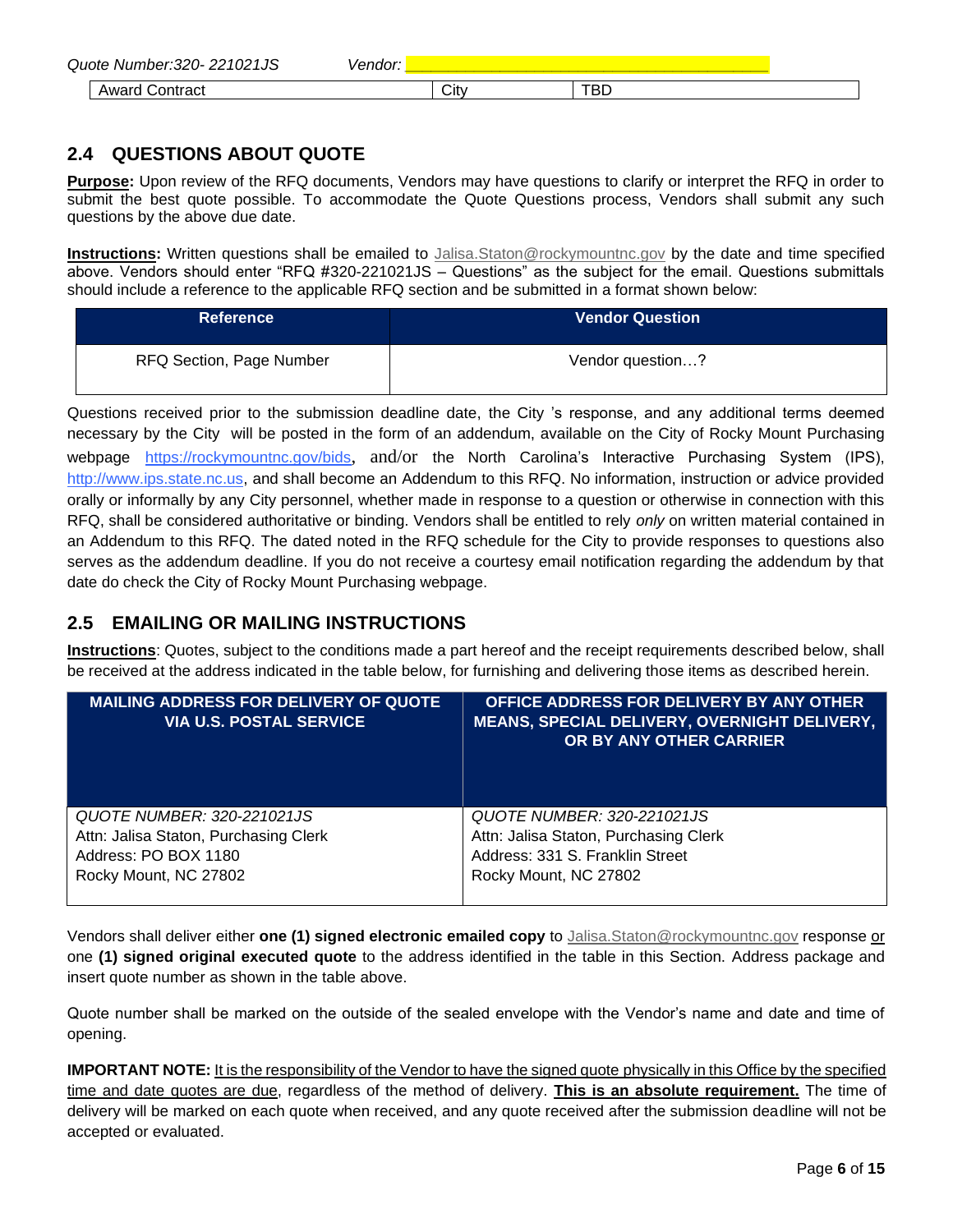| 1021JS<br>Quote Number:3<br>320- | ------ |      |                                         |  |
|----------------------------------|--------|------|-----------------------------------------|--|
| ∖ontract<br>Award                |        | City | שם<br>and the state of the state of the |  |

### **2.4 QUESTIONS ABOUT QUOTE**

**Purpose:** Upon review of the RFQ documents, Vendors may have questions to clarify or interpret the RFQ in order to submit the best quote possible. To accommodate the Quote Questions process, Vendors shall submit any such questions by the above due date.

**Instructions:** Written questions shall be emailed to [Jalisa.Staton@rockymountnc.gov](mailto:debra.harris@rockymountnc.gov) by the date and time specified above. Vendors should enter "RFQ #320-221021JS – Questions" as the subject for the email. Questions submittals should include a reference to the applicable RFQ section and be submitted in a format shown below:

| <b>Reference</b>         | <b>Vendor Question</b> |
|--------------------------|------------------------|
| RFQ Section, Page Number | Vendor question?       |

Questions received prior to the submission deadline date, the City 's response, and any additional terms deemed necessary by the City will be posted in the form of an addendum, available on the City of Rocky Mount Purchasing webpage https://rockymountnc.gov/bids, and/or the North Carolina's Interactive Purchasing System (IPS), [http://www.ips.state.nc.us,](http://www.ips.state.nc.us/) and shall become an Addendum to this RFQ. No information, instruction or advice provided orally or informally by any City personnel, whether made in response to a question or otherwise in connection with this RFQ, shall be considered authoritative or binding. Vendors shall be entitled to rely *only* on written material contained in an Addendum to this RFQ. The dated noted in the RFQ schedule for the City to provide responses to questions also serves as the addendum deadline. If you do not receive a courtesy email notification regarding the addendum by that date do check the City of Rocky Mount Purchasing webpage.

#### **2.5 EMAILING OR MAILING INSTRUCTIONS**

**Instructions**: Quotes, subject to the conditions made a part hereof and the receipt requirements described below, shall be received at the address indicated in the table below, for furnishing and delivering those items as described herein.

| <b>MAILING ADDRESS FOR DELIVERY OF QUOTE</b><br><b>VIA U.S. POSTAL SERVICE</b> | OFFICE ADDRESS FOR DELIVERY BY ANY OTHER<br>MEANS, SPECIAL DELIVERY, OVERNIGHT DELIVERY,<br>OR BY ANY OTHER CARRIER |
|--------------------------------------------------------------------------------|---------------------------------------------------------------------------------------------------------------------|
| QUOTE NUMBER: 320-221021JS                                                     | QUOTE NUMBER: 320-221021JS                                                                                          |
| Attn: Jalisa Staton, Purchasing Clerk                                          | Attn: Jalisa Staton, Purchasing Clerk                                                                               |
| Address: PO BOX 1180                                                           | Address: 331 S. Franklin Street                                                                                     |
| Rocky Mount, NC 27802                                                          | Rocky Mount, NC 27802                                                                                               |

Vendors shall deliver either **one (1) signed electronic emailed copy** to [Jalisa.Staton@rockymountnc.gov](mailto:debra.harris@rockymountnc.gov) response or one **(1) signed original executed quote** to the address identified in the table in this Section. Address package and insert quote number as shown in the table above.

Quote number shall be marked on the outside of the sealed envelope with the Vendor's name and date and time of opening.

**IMPORTANT NOTE:** It is the responsibility of the Vendor to have the signed quote physically in this Office by the specified time and date quotes are due, regardless of the method of delivery. **This is an absolute requirement.** The time of delivery will be marked on each quote when received, and any quote received after the submission deadline will not be accepted or evaluated.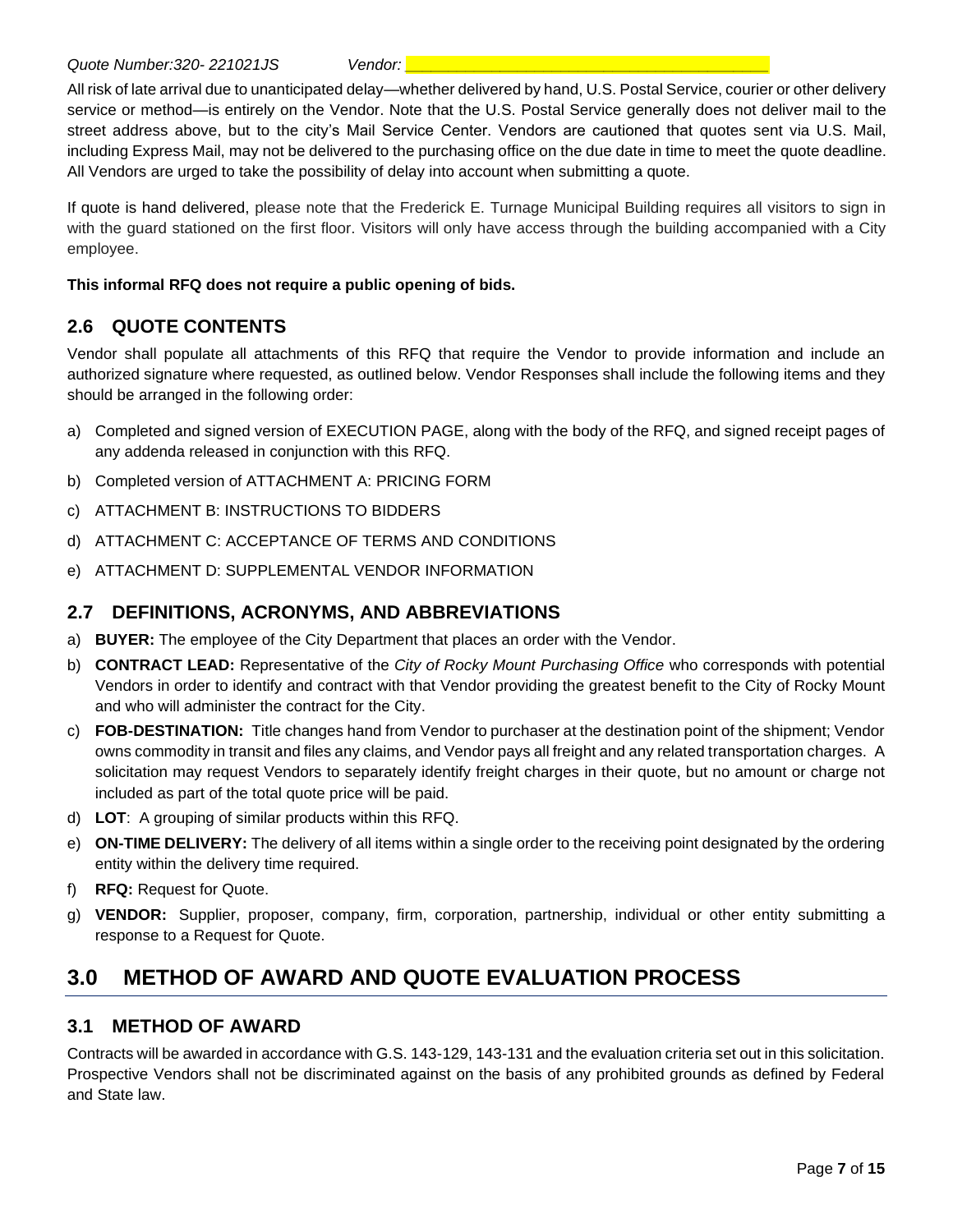All risk of late arrival due to unanticipated delay—whether delivered by hand, U.S. Postal Service, courier or other delivery service or method—is entirely on the Vendor. Note that the U.S. Postal Service generally does not deliver mail to the street address above, but to the city's Mail Service Center. Vendors are cautioned that quotes sent via U.S. Mail, including Express Mail, may not be delivered to the purchasing office on the due date in time to meet the quote deadline. All Vendors are urged to take the possibility of delay into account when submitting a quote.

If quote is hand delivered, please note that the Frederick E. Turnage Municipal Building requires all visitors to sign in with the guard stationed on the first floor. Visitors will only have access through the building accompanied with a City employee.

#### **This informal RFQ does not require a public opening of bids.**

#### **2.6 QUOTE CONTENTS**

Vendor shall populate all attachments of this RFQ that require the Vendor to provide information and include an authorized signature where requested, as outlined below. Vendor Responses shall include the following items and they should be arranged in the following order:

- a) Completed and signed version of EXECUTION PAGE, along with the body of the RFQ, and signed receipt pages of any addenda released in conjunction with this RFQ.
- b) Completed version of ATTACHMENT A: PRICING FORM
- c) ATTACHMENT B: INSTRUCTIONS TO BIDDERS
- d) ATTACHMENT C: ACCEPTANCE OF TERMS AND CONDITIONS
- e) ATTACHMENT D: SUPPLEMENTAL VENDOR INFORMATION

#### **2.7 DEFINITIONS, ACRONYMS, AND ABBREVIATIONS**

- a) **BUYER:** The employee of the City Department that places an order with the Vendor.
- b) **CONTRACT LEAD:** Representative of the *City of Rocky Mount Purchasing Office* who corresponds with potential Vendors in order to identify and contract with that Vendor providing the greatest benefit to the City of Rocky Mount and who will administer the contract for the City.
- c) **FOB-DESTINATION:** Title changes hand from Vendor to purchaser at the destination point of the shipment; Vendor owns commodity in transit and files any claims, and Vendor pays all freight and any related transportation charges. A solicitation may request Vendors to separately identify freight charges in their quote, but no amount or charge not included as part of the total quote price will be paid.
- d) **LOT**: A grouping of similar products within this RFQ.
- e) **ON-TIME DELIVERY:** The delivery of all items within a single order to the receiving point designated by the ordering entity within the delivery time required.
- f) **RFQ:** Request for Quote.
- g) **VENDOR:** Supplier, proposer, company, firm, corporation, partnership, individual or other entity submitting a response to a Request for Quote.

# **3.0 METHOD OF AWARD AND QUOTE EVALUATION PROCESS**

#### **3.1 METHOD OF AWARD**

Contracts will be awarded in accordance with G.S. 143-129, 143-131 and the evaluation criteria set out in this solicitation. Prospective Vendors shall not be discriminated against on the basis of any prohibited grounds as defined by Federal and State law.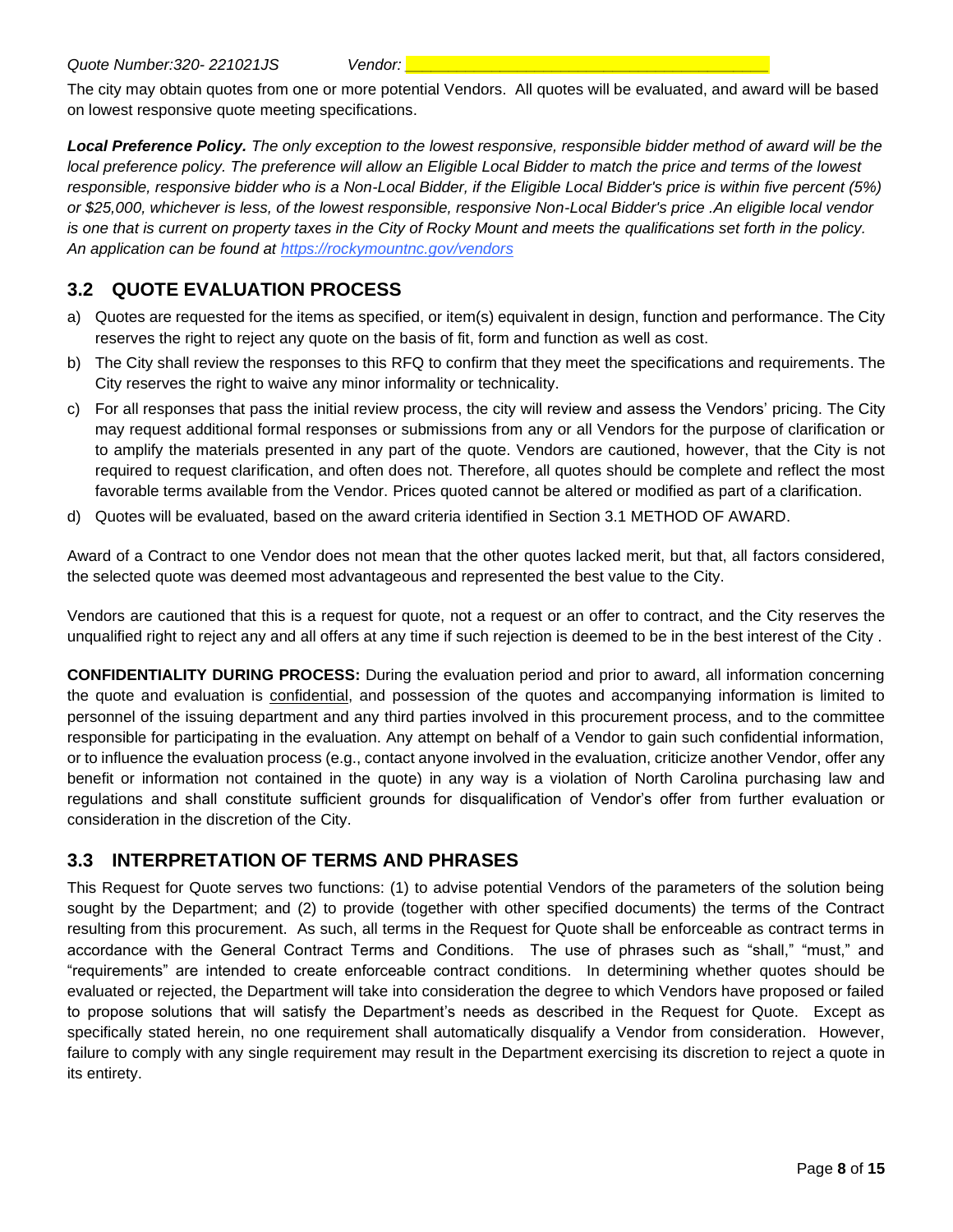The city may obtain quotes from one or more potential Vendors. All quotes will be evaluated, and award will be based on lowest responsive quote meeting specifications.

*Local Preference Policy. The only exception to the lowest responsive, responsible bidder method of award will be the local preference policy. The preference will allow an Eligible Local Bidder to match the price and terms of the lowest responsible, responsive bidder who is a Non-Local Bidder, if the Eligible Local Bidder's price is within five percent (5%) or \$25,000, whichever is less, of the lowest responsible, responsive Non-Local Bidder's price .An eligible local vendor is one that is current on property taxes in the City of Rocky Mount and meets the qualifications set forth in the policy. An application can be found at https://rockymountnc.gov/vendors*

### **3.2 QUOTE EVALUATION PROCESS**

- a) Quotes are requested for the items as specified, or item(s) equivalent in design, function and performance. The City reserves the right to reject any quote on the basis of fit, form and function as well as cost.
- b) The City shall review the responses to this RFQ to confirm that they meet the specifications and requirements. The City reserves the right to waive any minor informality or technicality.
- c) For all responses that pass the initial review process, the city will review and assess the Vendors' pricing. The City may request additional formal responses or submissions from any or all Vendors for the purpose of clarification or to amplify the materials presented in any part of the quote. Vendors are cautioned, however, that the City is not required to request clarification, and often does not. Therefore, all quotes should be complete and reflect the most favorable terms available from the Vendor. Prices quoted cannot be altered or modified as part of a clarification.
- d) Quotes will be evaluated, based on the award criteria identified in Section 3.1 METHOD OF AWARD.

Award of a Contract to one Vendor does not mean that the other quotes lacked merit, but that, all factors considered, the selected quote was deemed most advantageous and represented the best value to the City.

Vendors are cautioned that this is a request for quote, not a request or an offer to contract, and the City reserves the unqualified right to reject any and all offers at any time if such rejection is deemed to be in the best interest of the City .

**CONFIDENTIALITY DURING PROCESS:** During the evaluation period and prior to award, all information concerning the quote and evaluation is confidential, and possession of the quotes and accompanying information is limited to personnel of the issuing department and any third parties involved in this procurement process, and to the committee responsible for participating in the evaluation. Any attempt on behalf of a Vendor to gain such confidential information, or to influence the evaluation process (e.g., contact anyone involved in the evaluation, criticize another Vendor, offer any benefit or information not contained in the quote) in any way is a violation of North Carolina purchasing law and regulations and shall constitute sufficient grounds for disqualification of Vendor's offer from further evaluation or consideration in the discretion of the City.

#### **3.3 INTERPRETATION OF TERMS AND PHRASES**

This Request for Quote serves two functions: (1) to advise potential Vendors of the parameters of the solution being sought by the Department; and (2) to provide (together with other specified documents) the terms of the Contract resulting from this procurement. As such, all terms in the Request for Quote shall be enforceable as contract terms in accordance with the General Contract Terms and Conditions. The use of phrases such as "shall," "must," and "requirements" are intended to create enforceable contract conditions. In determining whether quotes should be evaluated or rejected, the Department will take into consideration the degree to which Vendors have proposed or failed to propose solutions that will satisfy the Department's needs as described in the Request for Quote. Except as specifically stated herein, no one requirement shall automatically disqualify a Vendor from consideration. However, failure to comply with any single requirement may result in the Department exercising its discretion to reject a quote in its entirety.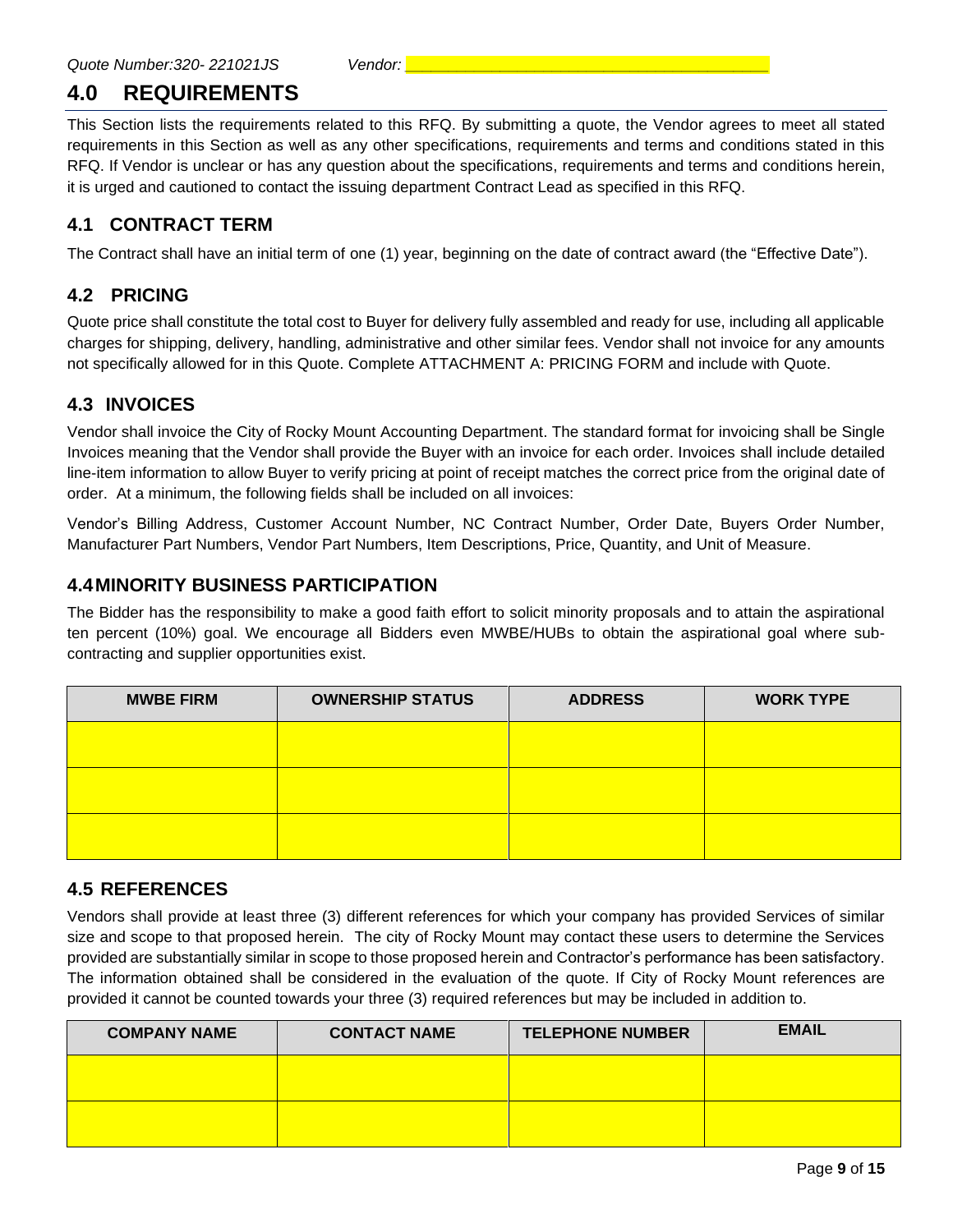# **4.0 REQUIREMENTS**

This Section lists the requirements related to this RFQ. By submitting a quote, the Vendor agrees to meet all stated requirements in this Section as well as any other specifications, requirements and terms and conditions stated in this RFQ. If Vendor is unclear or has any question about the specifications, requirements and terms and conditions herein, it is urged and cautioned to contact the issuing department Contract Lead as specified in this RFQ.

#### **4.1 CONTRACT TERM**

The Contract shall have an initial term of one (1) year, beginning on the date of contract award (the "Effective Date").

### **4.2 PRICING**

Quote price shall constitute the total cost to Buyer for delivery fully assembled and ready for use, including all applicable charges for shipping, delivery, handling, administrative and other similar fees. Vendor shall not invoice for any amounts not specifically allowed for in this Quote. Complete ATTACHMENT A: PRICING FORM and include with Quote.

#### **4.3 INVOICES**

Vendor shall invoice the City of Rocky Mount Accounting Department. The standard format for invoicing shall be Single Invoices meaning that the Vendor shall provide the Buyer with an invoice for each order. Invoices shall include detailed line-item information to allow Buyer to verify pricing at point of receipt matches the correct price from the original date of order. At a minimum, the following fields shall be included on all invoices:

Vendor's Billing Address, Customer Account Number, NC Contract Number, Order Date, Buyers Order Number, Manufacturer Part Numbers, Vendor Part Numbers, Item Descriptions, Price, Quantity, and Unit of Measure.

#### **4.4MINORITY BUSINESS PARTICIPATION**

The Bidder has the responsibility to make a good faith effort to solicit minority proposals and to attain the aspirational ten percent (10%) goal. We encourage all Bidders even MWBE/HUBs to obtain the aspirational goal where subcontracting and supplier opportunities exist.

| <b>MWBE FIRM</b> | <b>OWNERSHIP STATUS</b> | <b>ADDRESS</b> | <b>WORK TYPE</b> |
|------------------|-------------------------|----------------|------------------|
|                  |                         |                |                  |
|                  |                         |                |                  |
|                  |                         |                |                  |
|                  |                         |                |                  |

#### **4.5 REFERENCES**

Vendors shall provide at least three (3) different references for which your company has provided Services of similar size and scope to that proposed herein. The city of Rocky Mount may contact these users to determine the Services provided are substantially similar in scope to those proposed herein and Contractor's performance has been satisfactory. The information obtained shall be considered in the evaluation of the quote. If City of Rocky Mount references are provided it cannot be counted towards your three (3) required references but may be included in addition to.

| <b>COMPANY NAME</b> | <b>CONTACT NAME</b> | <b>TELEPHONE NUMBER</b> | <b>EMAIL</b> |
|---------------------|---------------------|-------------------------|--------------|
|                     |                     |                         |              |
|                     |                     |                         |              |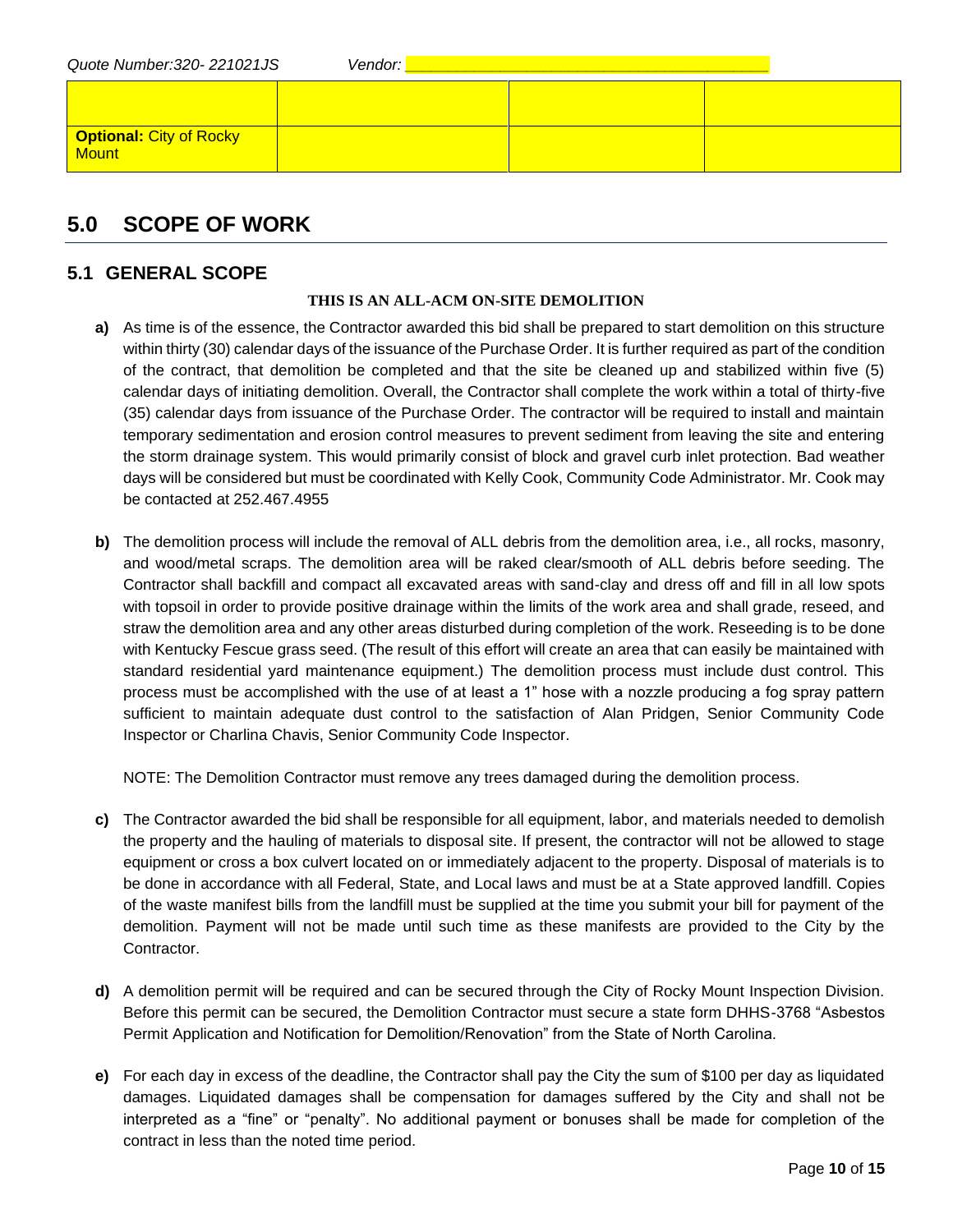| Quote Number: 320-221021JS | Vendor: |  |
|----------------------------|---------|--|
|                            |         |  |
| Optional: City of Rocky    |         |  |

## **5.0 SCOPE OF WORK**

#### **5.1 GENERAL SCOPE**

#### **THIS IS AN ALL-ACM ON-SITE DEMOLITION**

- **a)** As time is of the essence, the Contractor awarded this bid shall be prepared to start demolition on this structure within thirty (30) calendar days of the issuance of the Purchase Order. It is further required as part of the condition of the contract, that demolition be completed and that the site be cleaned up and stabilized within five (5) calendar days of initiating demolition. Overall, the Contractor shall complete the work within a total of thirty-five (35) calendar days from issuance of the Purchase Order. The contractor will be required to install and maintain temporary sedimentation and erosion control measures to prevent sediment from leaving the site and entering the storm drainage system. This would primarily consist of block and gravel curb inlet protection. Bad weather days will be considered but must be coordinated with Kelly Cook, Community Code Administrator. Mr. Cook may be contacted at 252.467.4955
- **b)** The demolition process will include the removal of ALL debris from the demolition area, i.e., all rocks, masonry, and wood/metal scraps. The demolition area will be raked clear/smooth of ALL debris before seeding. The Contractor shall backfill and compact all excavated areas with sand-clay and dress off and fill in all low spots with topsoil in order to provide positive drainage within the limits of the work area and shall grade, reseed, and straw the demolition area and any other areas disturbed during completion of the work. Reseeding is to be done with Kentucky Fescue grass seed. (The result of this effort will create an area that can easily be maintained with standard residential yard maintenance equipment.) The demolition process must include dust control. This process must be accomplished with the use of at least a 1" hose with a nozzle producing a fog spray pattern sufficient to maintain adequate dust control to the satisfaction of Alan Pridgen, Senior Community Code Inspector or Charlina Chavis, Senior Community Code Inspector.

NOTE: The Demolition Contractor must remove any trees damaged during the demolition process.

- **c)** The Contractor awarded the bid shall be responsible for all equipment, labor, and materials needed to demolish the property and the hauling of materials to disposal site. If present, the contractor will not be allowed to stage equipment or cross a box culvert located on or immediately adjacent to the property. Disposal of materials is to be done in accordance with all Federal, State, and Local laws and must be at a State approved landfill. Copies of the waste manifest bills from the landfill must be supplied at the time you submit your bill for payment of the demolition. Payment will not be made until such time as these manifests are provided to the City by the Contractor.
- **d)** A demolition permit will be required and can be secured through the City of Rocky Mount Inspection Division. Before this permit can be secured, the Demolition Contractor must secure a state form DHHS-3768 "Asbestos Permit Application and Notification for Demolition/Renovation" from the State of North Carolina.
- **e)** For each day in excess of the deadline, the Contractor shall pay the City the sum of \$100 per day as liquidated damages. Liquidated damages shall be compensation for damages suffered by the City and shall not be interpreted as a "fine" or "penalty". No additional payment or bonuses shall be made for completion of the contract in less than the noted time period.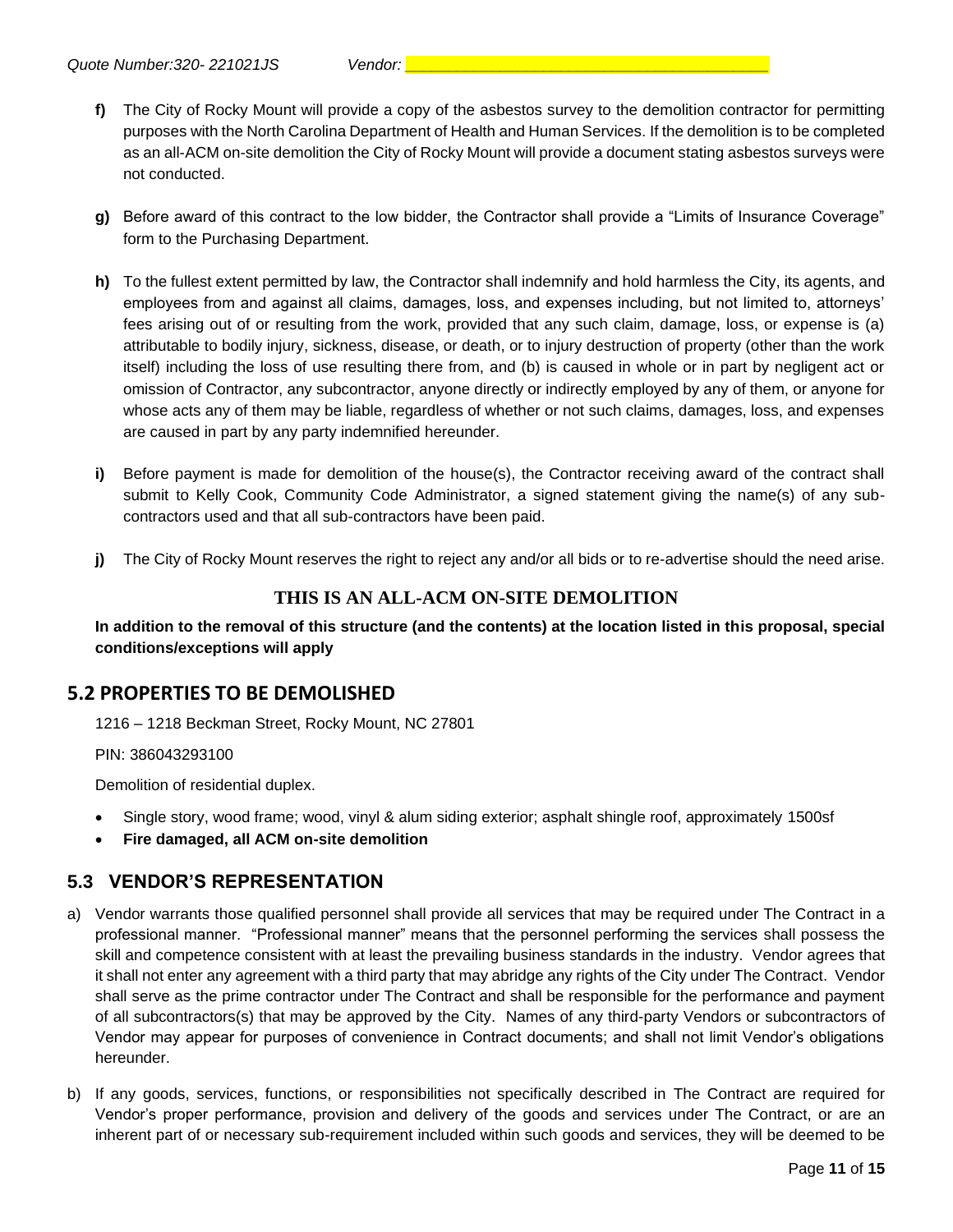- **f)** The City of Rocky Mount will provide a copy of the asbestos survey to the demolition contractor for permitting purposes with the North Carolina Department of Health and Human Services. If the demolition is to be completed as an all-ACM on-site demolition the City of Rocky Mount will provide a document stating asbestos surveys were not conducted.
- **g)** Before award of this contract to the low bidder, the Contractor shall provide a "Limits of Insurance Coverage" form to the Purchasing Department.
- **h)** To the fullest extent permitted by law, the Contractor shall indemnify and hold harmless the City, its agents, and employees from and against all claims, damages, loss, and expenses including, but not limited to, attorneys' fees arising out of or resulting from the work, provided that any such claim, damage, loss, or expense is (a) attributable to bodily injury, sickness, disease, or death, or to injury destruction of property (other than the work itself) including the loss of use resulting there from, and (b) is caused in whole or in part by negligent act or omission of Contractor, any subcontractor, anyone directly or indirectly employed by any of them, or anyone for whose acts any of them may be liable, regardless of whether or not such claims, damages, loss, and expenses are caused in part by any party indemnified hereunder.
- **i)** Before payment is made for demolition of the house(s), the Contractor receiving award of the contract shall submit to Kelly Cook, Community Code Administrator, a signed statement giving the name(s) of any subcontractors used and that all sub-contractors have been paid.
- **j)** The City of Rocky Mount reserves the right to reject any and/or all bids or to re-advertise should the need arise.

#### **THIS IS AN ALL-ACM ON-SITE DEMOLITION**

**In addition to the removal of this structure (and the contents) at the location listed in this proposal, special conditions/exceptions will apply**

#### **5.2 PROPERTIES TO BE DEMOLISHED**

1216 – 1218 Beckman Street, Rocky Mount, NC 27801

PIN: 386043293100

Demolition of residential duplex.

- Single story, wood frame; wood, vinyl & alum siding exterior; asphalt shingle roof, approximately 1500sf
- **Fire damaged, all ACM on-site demolition**

#### **5.3 VENDOR'S REPRESENTATION**

- a) Vendor warrants those qualified personnel shall provide all services that may be required under The Contract in a professional manner. "Professional manner" means that the personnel performing the services shall possess the skill and competence consistent with at least the prevailing business standards in the industry. Vendor agrees that it shall not enter any agreement with a third party that may abridge any rights of the City under The Contract. Vendor shall serve as the prime contractor under The Contract and shall be responsible for the performance and payment of all subcontractors(s) that may be approved by the City. Names of any third-party Vendors or subcontractors of Vendor may appear for purposes of convenience in Contract documents; and shall not limit Vendor's obligations hereunder.
- b) If any goods, services, functions, or responsibilities not specifically described in The Contract are required for Vendor's proper performance, provision and delivery of the goods and services under The Contract, or are an inherent part of or necessary sub-requirement included within such goods and services, they will be deemed to be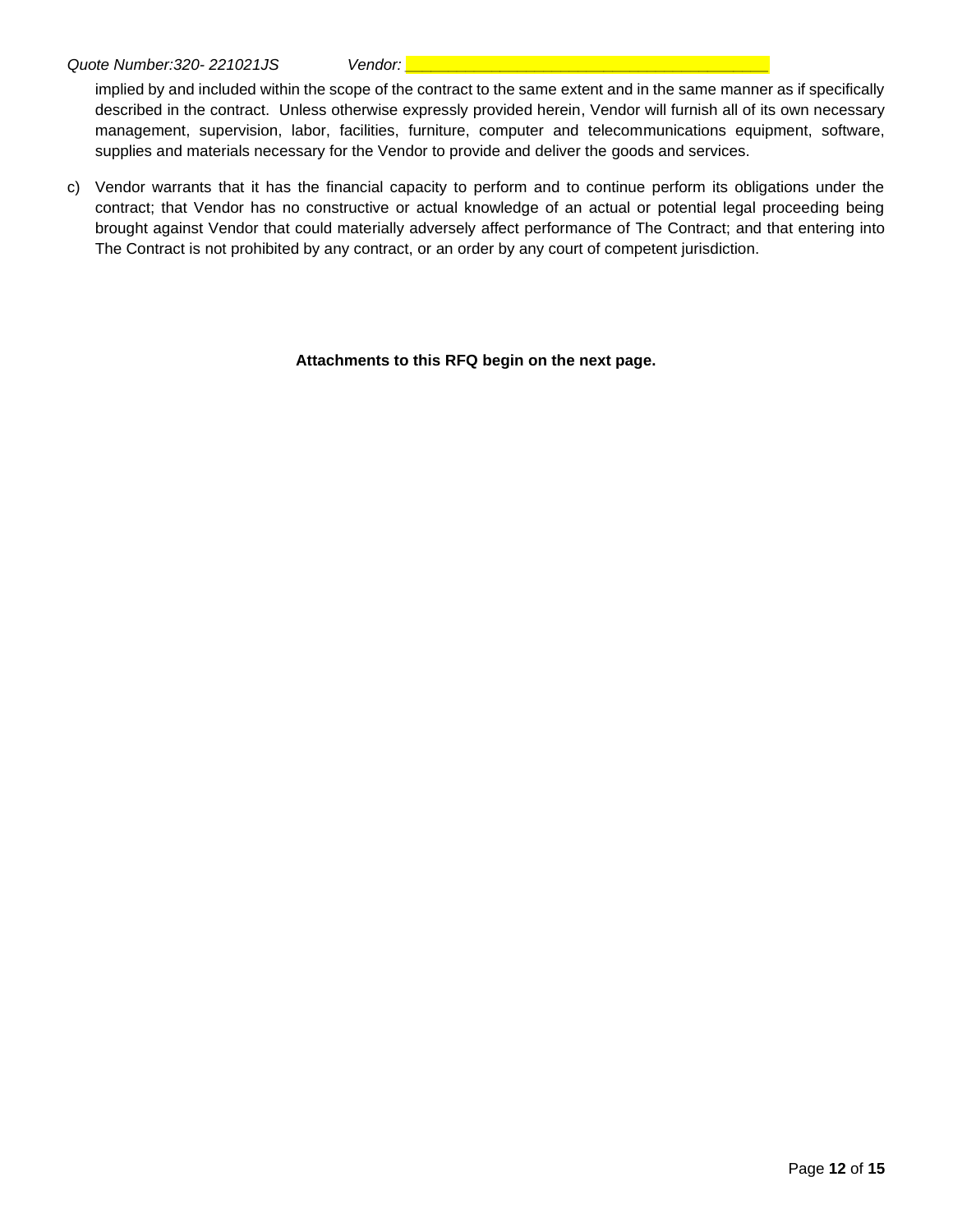implied by and included within the scope of the contract to the same extent and in the same manner as if specifically described in the contract. Unless otherwise expressly provided herein, Vendor will furnish all of its own necessary management, supervision, labor, facilities, furniture, computer and telecommunications equipment, software, supplies and materials necessary for the Vendor to provide and deliver the goods and services.

c) Vendor warrants that it has the financial capacity to perform and to continue perform its obligations under the contract; that Vendor has no constructive or actual knowledge of an actual or potential legal proceeding being brought against Vendor that could materially adversely affect performance of The Contract; and that entering into The Contract is not prohibited by any contract, or an order by any court of competent jurisdiction.

**Attachments to this RFQ begin on the next page.**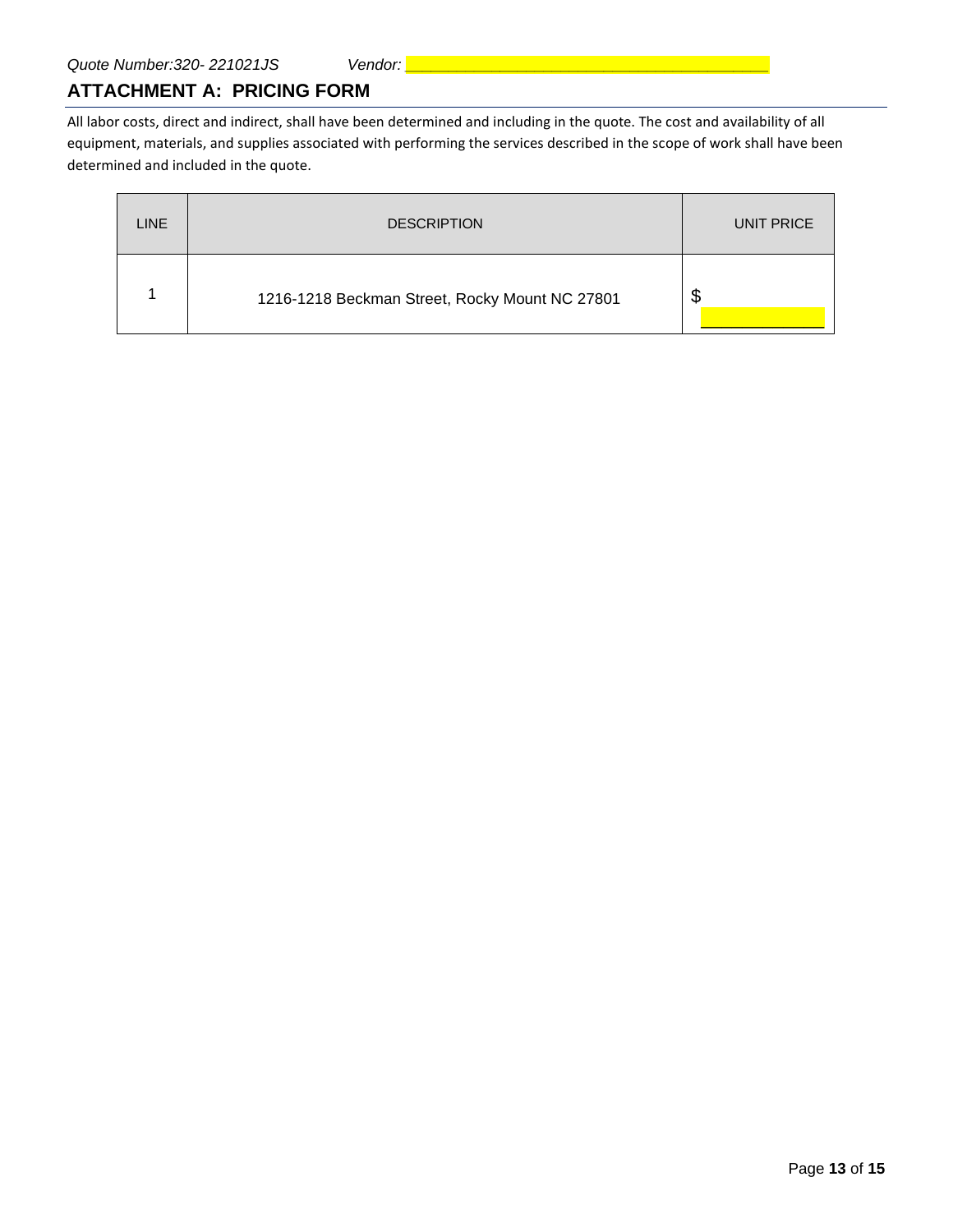#### **ATTACHMENT A: PRICING FORM**

All labor costs, direct and indirect, shall have been determined and including in the quote. The cost and availability of all equipment, materials, and supplies associated with performing the services described in the scope of work shall have been determined and included in the quote.

| <b>LINE</b> | <b>DESCRIPTION</b>                             | UNIT PRICE |
|-------------|------------------------------------------------|------------|
|             | 1216-1218 Beckman Street, Rocky Mount NC 27801 | \$         |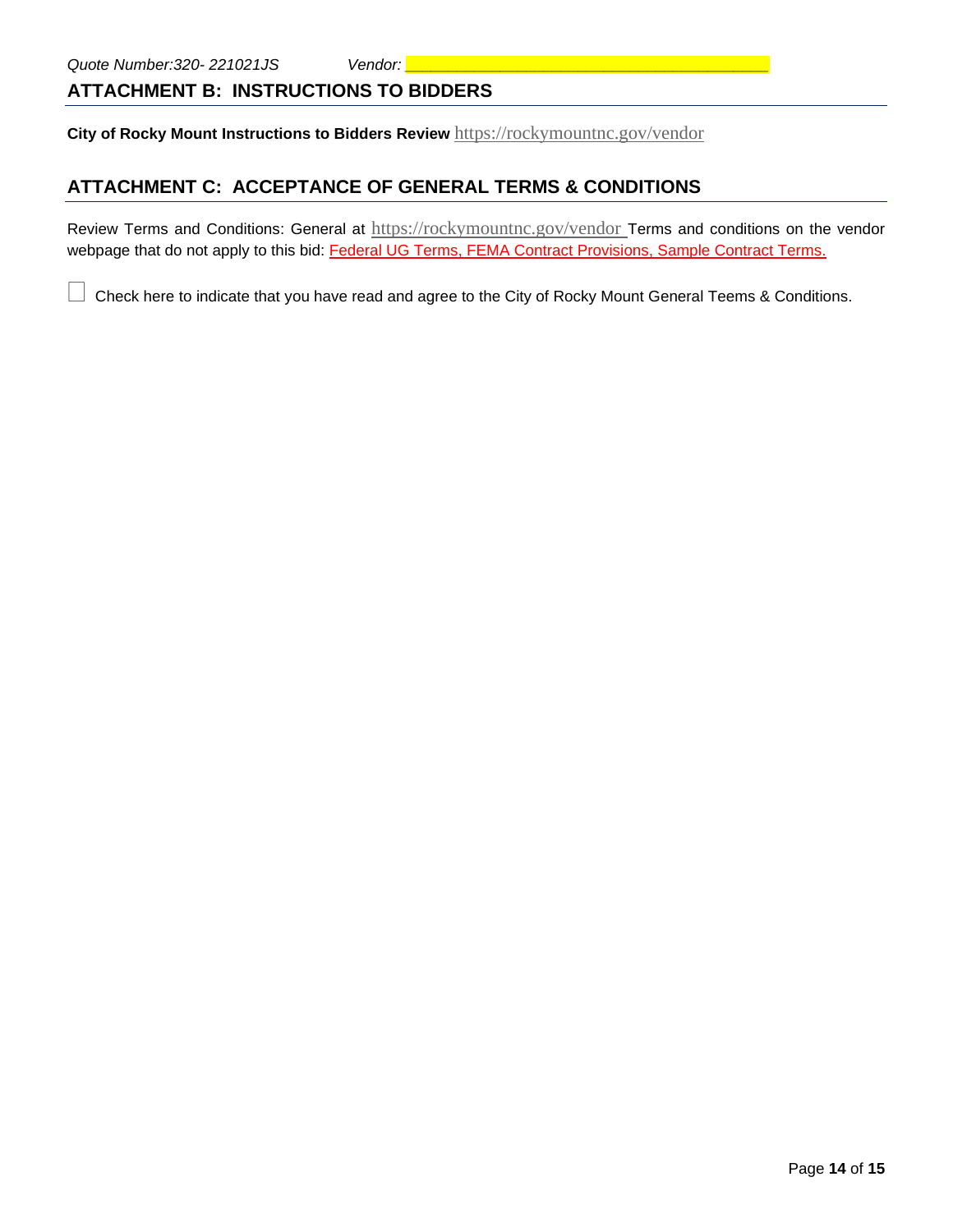### **ATTACHMENT B: INSTRUCTIONS TO BIDDERS**

**City of Rocky Mount Instructions to Bidders Review** <https://rockymountnc.gov/vendor>

## **ATTACHMENT C: ACCEPTANCE OF GENERAL TERMS & CONDITIONS**

Review Terms and Conditions: General at <https://rockymountnc.gov/vendor> Terms and conditions on the vendor webpage that do not apply to this bid: Federal UG Terms, FEMA Contract Provisions, Sample Contract Terms.

Check here to indicate that you have read and agree to the City of Rocky Mount General Teems & Conditions.